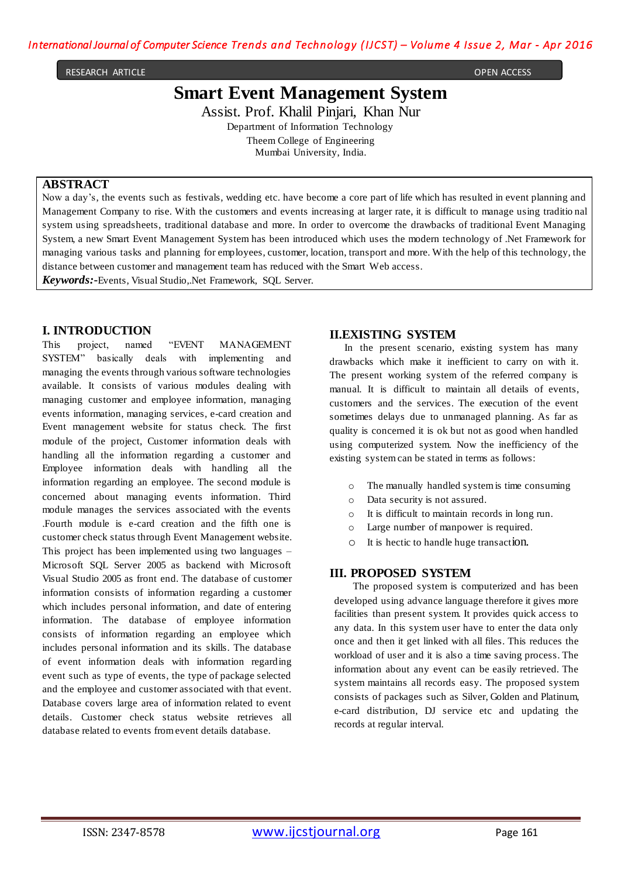```
RESEARCH ARTICLE OPEN ACCESS
```
# **Smart Event Management System**

Assist. Prof. Khalil Pinjari, Khan Nur Department of Information Technology Theem College of Engineering Mumbai University, India.

#### **ABSTRACT**

Now a day's, the events such as festivals, wedding etc. have become a core part of life which has resulted in event planning and Management Company to rise. With the customers and events increasing at larger rate, it is difficult to manage using traditio nal system using spreadsheets, traditional database and more. In order to overcome the drawbacks of traditional Event Managing System, a new Smart Event Management System has been introduced which uses the modern technology of .Net Framework for managing various tasks and planning for employees, customer, location, transport and more. With the help of this technology, the distance between customer and management team has reduced with the Smart Web access.

*Keywords:***-**Events, Visual Studio,.Net Framework, SQL Server.

## **I. INTRODUCTION**

This project, named "EVENT MANAGEMENT SYSTEM" basically deals with implementing and managing the events through various software technologies available. It consists of various modules dealing with managing customer and employee information, managing events information, managing services, e-card creation and Event management website for status check. The first module of the project, Customer information deals with handling all the information regarding a customer and Employee information deals with handling all the information regarding an employee. The second module is concerned about managing events information. Third module manages the services associated with the events .Fourth module is e-card creation and the fifth one is customer check status through Event Management website. This project has been implemented using two languages – Microsoft SQL Server 2005 as backend with Microsoft Visual Studio 2005 as front end. The database of customer information consists of information regarding a customer which includes personal information, and date of entering information. The database of employee information consists of information regarding an employee which includes personal information and its skills. The database of event information deals with information regarding event such as type of events, the type of package selected and the employee and customer associated with that event. Database covers large area of information related to event details. Customer check status website retrieves all database related to events from event details database.

## **II.EXISTING SYSTEM**

In the present scenario, existing system has many drawbacks which make it inefficient to carry on with it. The present working system of the referred company is manual. It is difficult to maintain all details of events, customers and the services. The execution of the event sometimes delays due to unmanaged planning. As far as quality is concerned it is ok but not as good when handled using computerized system. Now the inefficiency of the existing system can be stated in terms as follows:

- o The manually handled system is time consuming
- o Data security is not assured.
- o It is difficult to maintain records in long run.
- o Large number of manpower is required.
- o It is hectic to handle huge transaction.

## **III. PROPOSED SYSTEM**

 The proposed system is computerized and has been developed using advance language therefore it gives more facilities than present system. It provides quick access to any data. In this system user have to enter the data only once and then it get linked with all files. This reduces the workload of user and it is also a time saving process. The information about any event can be easily retrieved. The system maintains all records easy. The proposed system consists of packages such as Silver, Golden and Platinum, e-card distribution, DJ service etc and updating the records at regular interval.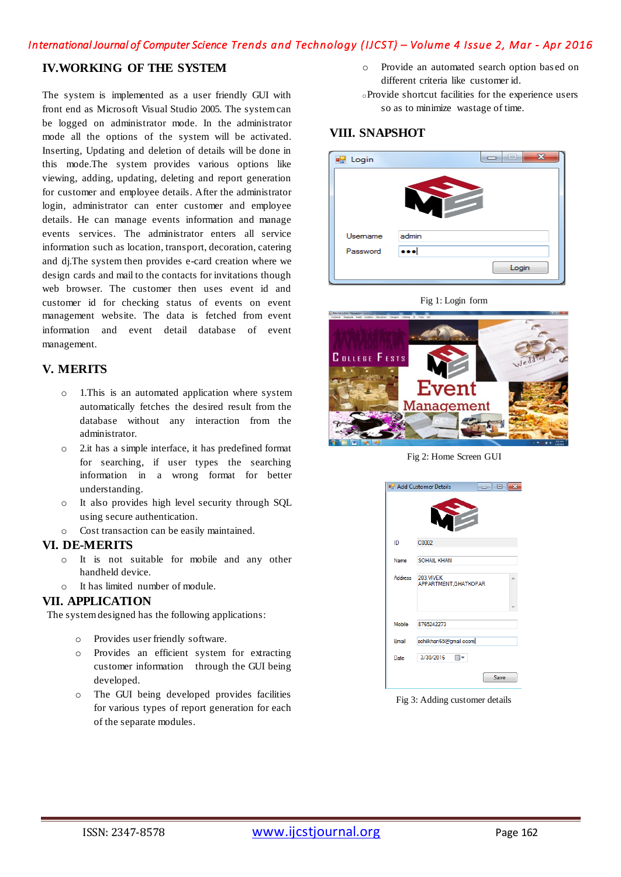## *International Journal of Computer Science Trends and Technology (IJCST) – Volume 4 Issue 2, Mar - Apr 2016*

## **IV.WORKING OF THE SYSTEM**

The system is implemented as a user friendly GUI with front end as Microsoft Visual Studio 2005. The system can be logged on administrator mode. In the administrator mode all the options of the system will be activated. Inserting, Updating and deletion of details will be done in this mode.The system provides various options like viewing, adding, updating, deleting and report generation for customer and employee details. After the administrator login, administrator can enter customer and employee details. He can manage events information and manage events services. The administrator enters all service information such as location, transport, decoration, catering and dj.The system then provides e-card creation where we design cards and mail to the contacts for invitations though web browser. The customer then uses event id and customer id for checking status of events on event management website. The data is fetched from event information and event detail database of event management.

## **V. MERITS**

- o 1.This is an automated application where system automatically fetches the desired result from the database without any interaction from the administrator.
- o 2.it has a simple interface, it has predefined format for searching, if user types the searching information in a wrong format for better understanding.
- o It also provides high level security through SQL using secure authentication.
- o Cost transaction can be easily maintained.

#### **VI. DE-MERITS**

- o It is not suitable for mobile and any other handheld device.
- o It has limited number of module.

#### **VII. APPLICATION**

The system designed has the following applications:

- o Provides user friendly software.
- o Provides an efficient system for extracting customer information through the GUI being developed.
- o The GUI being developed provides facilities for various types of report generation for each of the separate modules.

Provide an automated search option based on different criteria like customer id.

<sup>o</sup>Provide shortcut facilities for the experience users so as to minimize wastage of time.

## **VIII. SNAPSHOT**

| <b>n</b> Login | 23<br>$\overline{a}$ |
|----------------|----------------------|
|                |                      |
| Usemame        | admin                |
| Password       |                      |
|                | Login                |

Fig 1: Login form



Fig 2: Home Screen GUI

| <b>P.</b> Add Customer Details<br>-- 0 |                                    |  |  |  |
|----------------------------------------|------------------------------------|--|--|--|
|                                        |                                    |  |  |  |
| ID                                     | C0002                              |  |  |  |
| <b>Name</b>                            | SOHAIL KHAN                        |  |  |  |
| <b>Address</b>                         | 203.VIVEK<br>APPARTMENT, GHATKOPAR |  |  |  |
| Mobile                                 | 8765242273                         |  |  |  |
| Email                                  | sohilkhan65@gmail.ccom             |  |  |  |
| Date                                   | 3/30/2016<br>$\blacksquare$        |  |  |  |
|                                        | Save                               |  |  |  |

Fig 3: Adding customer details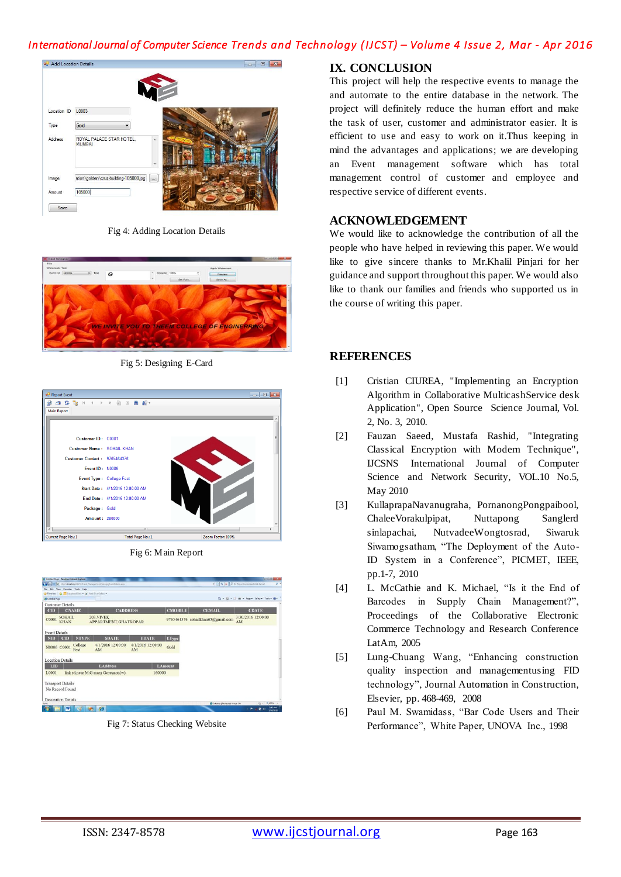# *International Journal of Computer Science Trends and Technology (IJCST) – Volume 4 Issue 2, Mar - Apr 2016*



Fig 4: Adding Location Details



Fig 5: Designing E-Card

| Report Event<br>$\begin{array}{c c c c c c} \hline \multicolumn{3}{c }{\mathbf{C}} & \multicolumn{3}{c }{\mathbf{X}} \end{array}$ |                                  |                   |  |  |
|-----------------------------------------------------------------------------------------------------------------------------------|----------------------------------|-------------------|--|--|
| de se de la de la de la de la de la de la de la de la de la de la de la de la de la de la de la de la de la de                    |                                  |                   |  |  |
| <b>Main Report</b>                                                                                                                |                                  |                   |  |  |
|                                                                                                                                   |                                  |                   |  |  |
| Customer ID: C0001                                                                                                                |                                  | Ξ                 |  |  |
| Customer Name: SOHAIL KHAN                                                                                                        |                                  |                   |  |  |
| Customer Contact: 9765464376                                                                                                      |                                  |                   |  |  |
| Event ID: N0006                                                                                                                   |                                  |                   |  |  |
|                                                                                                                                   | Event Type: College Fest         |                   |  |  |
|                                                                                                                                   | Start Date: 4/1/2016 12:00:00 AM |                   |  |  |
|                                                                                                                                   | End Date: 4/1/2016 12:00:00 AM   |                   |  |  |
| Package: Gold                                                                                                                     |                                  |                   |  |  |
| Amount: 280000                                                                                                                    |                                  | ٠                 |  |  |
| $\epsilon$                                                                                                                        | $\mathbf{m}$                     |                   |  |  |
| Current Page No.: 1                                                                                                               | Total Page No.: 1                | Zoom Factor: 100% |  |  |

Fig 6: Main Report



Fig 7: Status Checking Website

#### **IX. CONCLUSION**

This project will help the respective events to manage the and automate to the entire database in the network. The project will definitely reduce the human effort and make the task of user, customer and administrator easier. It is efficient to use and easy to work on it.Thus keeping in mind the advantages and applications; we are developing an Event management software which has total management control of customer and employee and respective service of different events.

## **ACKNOWLEDGEMENT**

We would like to acknowledge the contribution of all the people who have helped in reviewing this paper. We would like to give sincere thanks to Mr.Khalil Pinjari for her guidance and support throughout this paper. We would also like to thank our families and friends who supported us in the course of writing this paper.

## **REFERENCES**

- [1] Cristian CIUREA, "Implementing an Encryption Algorithm in Collaborative MulticashService desk Application", Open Source Science Journal, Vol. 2, No. 3, 2010.
- [2] Fauzan Saeed, Mustafa Rashid, "Integrating Classical Encryption with Modern Technique", IJCSNS International Journal of Computer Science and Network Security, VOL.10 No.5, May 2010
- [3] KullaprapaNavanugraha, PornanongPongpaibool, ChaleeVorakulpipat, Nuttapong Sanglerd sinlapachai, NutvadeeWongtosrad, Siwaruk Siwamogsatham, "The Deployment of the Auto-ID System in a Conference", PICMET, IEEE, pp.1-7, 2010
- [4] L. McCathie and K. Michael, "Is it the End of Barcodes in Supply Chain Management?", Proceedings of the Collaborative Electronic Commerce Technology and Research Conference LatAm, 2005
- [5] Lung-Chuang Wang, "Enhancing construction quality inspection and managementusing FID technology", Journal Automation in Construction, Elsevier, pp. 468-469, 2008
- [6] Paul M. Swamidass, "Bar Code Users and Their Performance", White Paper, UNOVA Inc., 1998